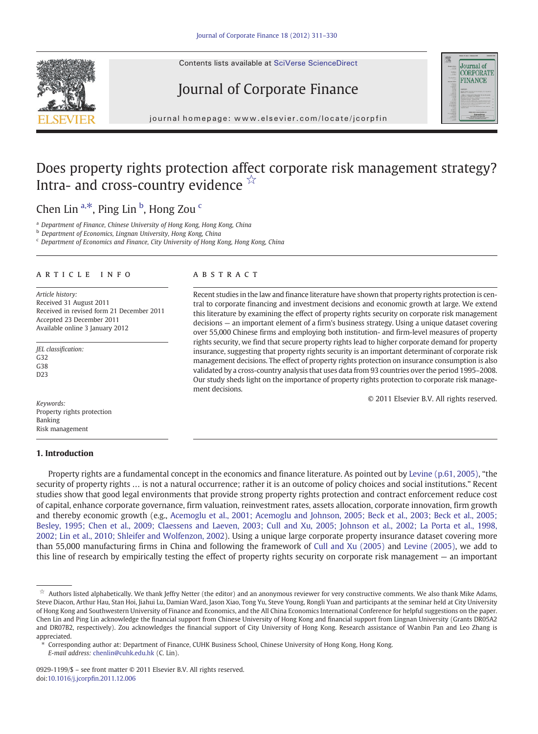Contents lists available at SciVerse ScienceDirect

# Journal of Corporate Finance



journal homepage: www.elsevier.com/locate/jcorp/locate/jcorp/locate/jcorp/locate/jcorp/interval homepage:  $\mathcal{O}(\mathcal{C})$ 

## Does property rights protection affect corporate risk management strategy? Intra- and cross-country evidence  $\overline{X}$

## Chen Lin <sup>a,\*</sup>, Ping Lin <sup>b</sup>, Hong Zou <sup>c</sup>

<sup>a</sup> Department of Finance, Chinese University of Hong Kong, Hong Kong, China

**b** Department of Economics, Lingnan University, Hong Kong, China

<sup>c</sup> Department of Economics and Finance, City University of Hong Kong, Hong Kong, China

#### article info abstract

Article history: Received 31 August 2011 Received in revised form 21 December 2011 Accepted 23 December 2011 Available online 3 January 2012

JEL classification: G32 G38 D23

Keywords: Property rights protection Banking Risk management

### 1. Introduction

Recent studies in the law and finance literature have shown that property rights protection is central to corporate financing and investment decisions and economic growth at large. We extend this literature by examining the effect of property rights security on corporate risk management decisions — an important element of a firm's business strategy. Using a unique dataset covering over 55,000 Chinese firms and employing both institution- and firm-level measures of property rights security, we find that secure property rights lead to higher corporate demand for property insurance, suggesting that property rights security is an important determinant of corporate risk management decisions. The effect of property rights protection on insurance consumption is also validated by a cross-country analysis that uses data from 93 countries over the period 1995–2008. Our study sheds light on the importance of property rights protection to corporate risk management decisions.

© 2011 Elsevier B.V. All rights reserved.

Property rights are a fundamental concept in the economics and finance literature. As pointed out by [Levine \(p.61, 2005\)](#page--1-0), "the security of property rights … is not a natural occurrence; rather it is an outcome of policy choices and social institutions." Recent studies show that good legal environments that provide strong property rights protection and contract enforcement reduce cost of capital, enhance corporate governance, firm valuation, reinvestment rates, assets allocation, corporate innovation, firm growth and thereby economic growth (e.g., [Acemoglu et al., 2001; Acemoglu and Johnson, 2005; Beck et al., 2003; Beck et al., 2005;](#page--1-0) [Besley, 1995; Chen et al., 2009; Claessens and Laeven, 2003; Cull and Xu, 2005; Johnson et al., 2002; La Porta et al., 1998,](#page--1-0) [2002; Lin et al., 2010; Shleifer and Wolfenzon, 2002](#page--1-0)). Using a unique large corporate property insurance dataset covering more than 55,000 manufacturing firms in China and following the framework of [Cull and Xu \(2005\)](#page--1-0) and [Levine \(2005\),](#page--1-0) we add to this line of research by empirically testing the effect of property rights security on corporate risk management — an important

⁎ Corresponding author at: Department of Finance, CUHK Business School, Chinese University of Hong Kong, Hong Kong. E-mail address: [chenlin@cuhk.edu.hk](mailto:chenlin@cuhk.edu.hk) (C. Lin).

 $\dot{\tilde{x}}$  Authors listed alphabetically. We thank Jeffry Netter (the editor) and an anonymous reviewer for very constructive comments. We also thank Mike Adams, Steve Diacon, Arthur Hau, Stan Hoi, Jiahui Lu, Damian Ward, Jason Xiao, Tong Yu, Steve Young, Rongli Yuan and participants at the seminar held at City University of Hong Kong and Southwestern University of Finance and Economics, and the All China Economics International Conference for helpful suggestions on the paper. Chen Lin and Ping Lin acknowledge the financial support from Chinese University of Hong Kong and financial support from Lingnan University (Grants DR05A2 and DR07B2, respectively). Zou acknowledges the financial support of City University of Hong Kong. Research assistance of Wanbin Pan and Leo Zhang is appreciated.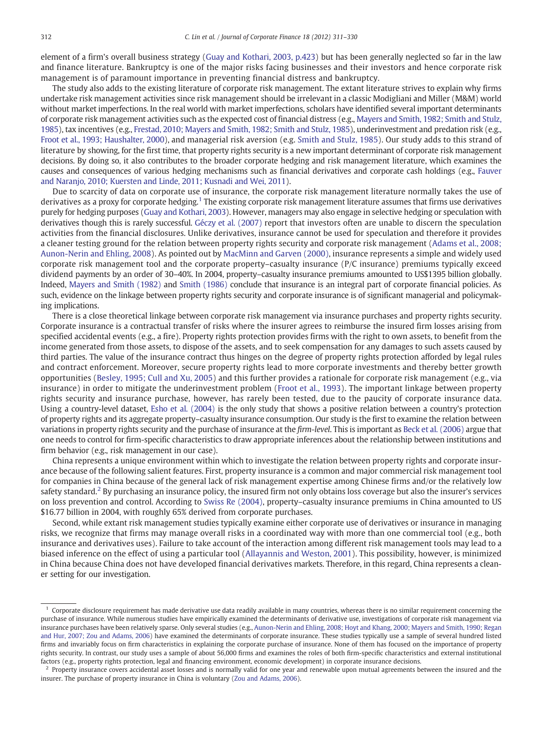element of a firm's overall business strategy [\(Guay and Kothari, 2003, p.423](#page--1-0)) but has been generally neglected so far in the law and finance literature. Bankruptcy is one of the major risks facing businesses and their investors and hence corporate risk management is of paramount importance in preventing financial distress and bankruptcy.

The study also adds to the existing literature of corporate risk management. The extant literature strives to explain why firms undertake risk management activities since risk management should be irrelevant in a classic Modigliani and Miller (M&M) world without market imperfections. In the real world with market imperfections, scholars have identified several important determinants of corporate risk management activities such as the expected cost of financial distress (e.g., [Mayers and Smith, 1982; Smith and Stulz,](#page--1-0) [1985](#page--1-0)), tax incentives (e.g., [Frestad, 2010; Mayers and Smith, 1982; Smith and Stulz, 1985\)](#page--1-0), underinvestment and predation risk (e.g., [Froot et al., 1993; Haushalter, 2000](#page--1-0)), and managerial risk aversion (e.g. [Smith and Stulz, 1985\)](#page--1-0). Our study adds to this strand of literature by showing, for the first time, that property rights security is a new important determinant of corporate risk management decisions. By doing so, it also contributes to the broader corporate hedging and risk management literature, which examines the causes and consequences of various hedging mechanisms such as financial derivatives and corporate cash holdings (e.g., [Fauver](#page--1-0) [and Naranjo, 2010; Kuersten and Linde, 2011; Kusnadi and Wei, 2011](#page--1-0)).

Due to scarcity of data on corporate use of insurance, the corporate risk management literature normally takes the use of derivatives as a proxy for corporate hedging.<sup>1</sup> The existing corporate risk management literature assumes that firms use derivatives purely for hedging purposes ([Guay and Kothari, 2003](#page--1-0)). However, managers may also engage in selective hedging or speculation with derivatives though this is rarely successful. [Géczy et al. \(2007\)](#page--1-0) report that investors often are unable to discern the speculation activities from the financial disclosures. Unlike derivatives, insurance cannot be used for speculation and therefore it provides a cleaner testing ground for the relation between property rights security and corporate risk management [\(Adams et al., 2008;](#page--1-0) [Aunon-Nerin and Ehling, 2008\)](#page--1-0). As pointed out by [MacMinn and Garven \(2000\),](#page--1-0) insurance represents a simple and widely used corporate risk management tool and the corporate property–casualty insurance (P/C insurance) premiums typically exceed dividend payments by an order of 30–40%. In 2004, property–casualty insurance premiums amounted to US\$1395 billion globally. Indeed, [Mayers and Smith \(1982\)](#page--1-0) and [Smith \(1986\)](#page--1-0) conclude that insurance is an integral part of corporate financial policies. As such, evidence on the linkage between property rights security and corporate insurance is of significant managerial and policymaking implications.

There is a close theoretical linkage between corporate risk management via insurance purchases and property rights security. Corporate insurance is a contractual transfer of risks where the insurer agrees to reimburse the insured firm losses arising from specified accidental events (e.g., a fire). Property rights protection provides firms with the right to own assets, to benefit from the income generated from those assets, to dispose of the assets, and to seek compensation for any damages to such assets caused by third parties. The value of the insurance contract thus hinges on the degree of property rights protection afforded by legal rules and contract enforcement. Moreover, secure property rights lead to more corporate investments and thereby better growth opportunities ([Besley, 1995; Cull and Xu, 2005](#page--1-0)) and this further provides a rationale for corporate risk management (e.g., via insurance) in order to mitigate the underinvestment problem ([Froot et al., 1993](#page--1-0)). The important linkage between property rights security and insurance purchase, however, has rarely been tested, due to the paucity of corporate insurance data. Using a country-level dataset, [Esho et al. \(2004\)](#page--1-0) is the only study that shows a positive relation between a country's protection of property rights and its aggregate property–casualty insurance consumption. Our study is the first to examine the relation between variations in property rights security and the purchase of insurance at the firm-level. This is important as [Beck et al. \(2006\)](#page--1-0) argue that one needs to control for firm-specific characteristics to draw appropriate inferences about the relationship between institutions and firm behavior (e.g., risk management in our case).

China represents a unique environment within which to investigate the relation between property rights and corporate insurance because of the following salient features. First, property insurance is a common and major commercial risk management tool for companies in China because of the general lack of risk management expertise among Chinese firms and/or the relatively low safety standard.<sup>2</sup> By purchasing an insurance policy, the insured firm not only obtains loss coverage but also the insurer's services on loss prevention and control. According to [Swiss Re \(2004\),](#page--1-0) property–casualty insurance premiums in China amounted to US \$16.77 billion in 2004, with roughly 65% derived from corporate purchases.

Second, while extant risk management studies typically examine either corporate use of derivatives or insurance in managing risks, we recognize that firms may manage overall risks in a coordinated way with more than one commercial tool (e.g., both insurance and derivatives uses). Failure to take account of the interaction among different risk management tools may lead to a biased inference on the effect of using a particular tool [\(Allayannis and Weston, 2001](#page--1-0)). This possibility, however, is minimized in China because China does not have developed financial derivatives markets. Therefore, in this regard, China represents a cleaner setting for our investigation.

<sup>1</sup> Corporate disclosure requirement has made derivative use data readily available in many countries, whereas there is no similar requirement concerning the purchase of insurance. While numerous studies have empirically examined the determinants of derivative use, investigations of corporate risk management via insurance purchases have been relatively sparse. Only several studies (e.g., [Aunon-Nerin and Ehling, 2008; Hoyt and Khang, 2000; Mayers and Smith, 1990; Regan](#page--1-0) [and Hur, 2007; Zou and Adams, 2006\)](#page--1-0) have examined the determinants of corporate insurance. These studies typically use a sample of several hundred listed firms and invariably focus on firm characteristics in explaining the corporate purchase of insurance. None of them has focused on the importance of property rights security. In contrast, our study uses a sample of about 56,000 firms and examines the roles of both firm-specific characteristics and external institutional factors (e.g., property rights protection, legal and financing environment, economic development) in corporate insurance decisions.

<sup>&</sup>lt;sup>2</sup> Property insurance covers accidental asset losses and is normally valid for one year and renewable upon mutual agreements between the insured and the insurer. The purchase of property insurance in China is voluntary [\(Zou and Adams, 2006\)](#page--1-0).